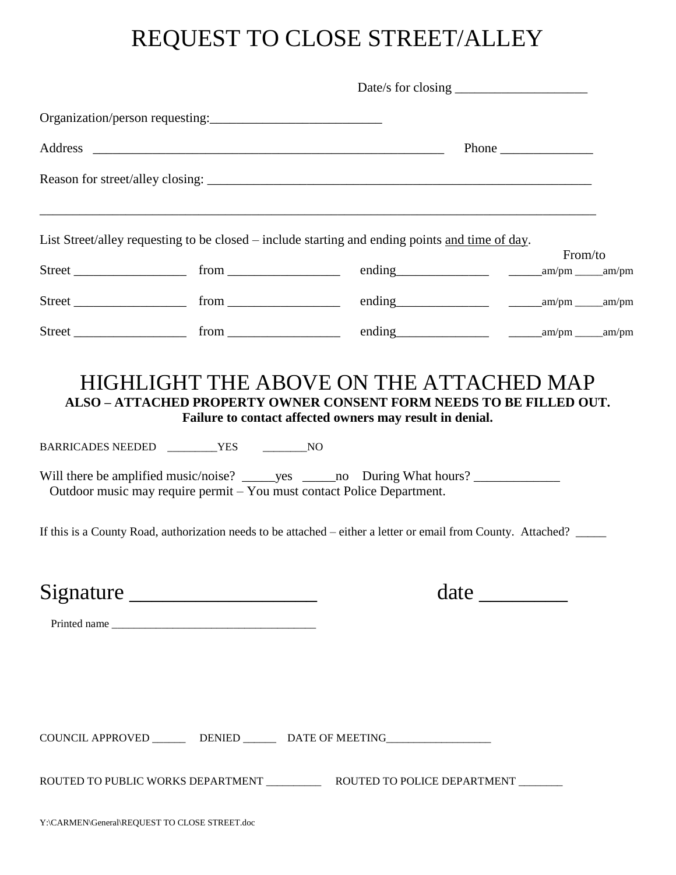## REQUEST TO CLOSE STREET/ALLEY

| Date/s for closing $\frac{1}{2}$ and $\frac{1}{2}$ and $\frac{1}{2}$ and $\frac{1}{2}$ and $\frac{1}{2}$ and $\frac{1}{2}$ and $\frac{1}{2}$ and $\frac{1}{2}$ and $\frac{1}{2}$ and $\frac{1}{2}$ and $\frac{1}{2}$ and $\frac{1}{2}$ and $\frac{1}{2}$ and $\frac{1}{2}$ and $\frac{1}{$ |                                                                                                                                                                                                                                                                                          |         |  |
|--------------------------------------------------------------------------------------------------------------------------------------------------------------------------------------------------------------------------------------------------------------------------------------------|------------------------------------------------------------------------------------------------------------------------------------------------------------------------------------------------------------------------------------------------------------------------------------------|---------|--|
| Organization/person requesting:                                                                                                                                                                                                                                                            |                                                                                                                                                                                                                                                                                          |         |  |
|                                                                                                                                                                                                                                                                                            |                                                                                                                                                                                                                                                                                          |         |  |
|                                                                                                                                                                                                                                                                                            |                                                                                                                                                                                                                                                                                          |         |  |
|                                                                                                                                                                                                                                                                                            | List Street/alley requesting to be closed – include starting and ending points and time of day.                                                                                                                                                                                          |         |  |
|                                                                                                                                                                                                                                                                                            |                                                                                                                                                                                                                                                                                          | From/to |  |
|                                                                                                                                                                                                                                                                                            |                                                                                                                                                                                                                                                                                          |         |  |
|                                                                                                                                                                                                                                                                                            |                                                                                                                                                                                                                                                                                          |         |  |
|                                                                                                                                                                                                                                                                                            | Will there be amplified music/noise? ______ yes ______ no During What hours? _______________<br>Outdoor music may require permit – You must contact Police Department.<br>If this is a County Road, authorization needs to be attached – either a letter or email from County. Attached? |         |  |
| Signature                                                                                                                                                                                                                                                                                  | date                                                                                                                                                                                                                                                                                     |         |  |
|                                                                                                                                                                                                                                                                                            |                                                                                                                                                                                                                                                                                          |         |  |
|                                                                                                                                                                                                                                                                                            | COUNCIL APPROVED ________ DENIED _______ DATE OF MEETING _______________________                                                                                                                                                                                                         |         |  |
|                                                                                                                                                                                                                                                                                            |                                                                                                                                                                                                                                                                                          |         |  |